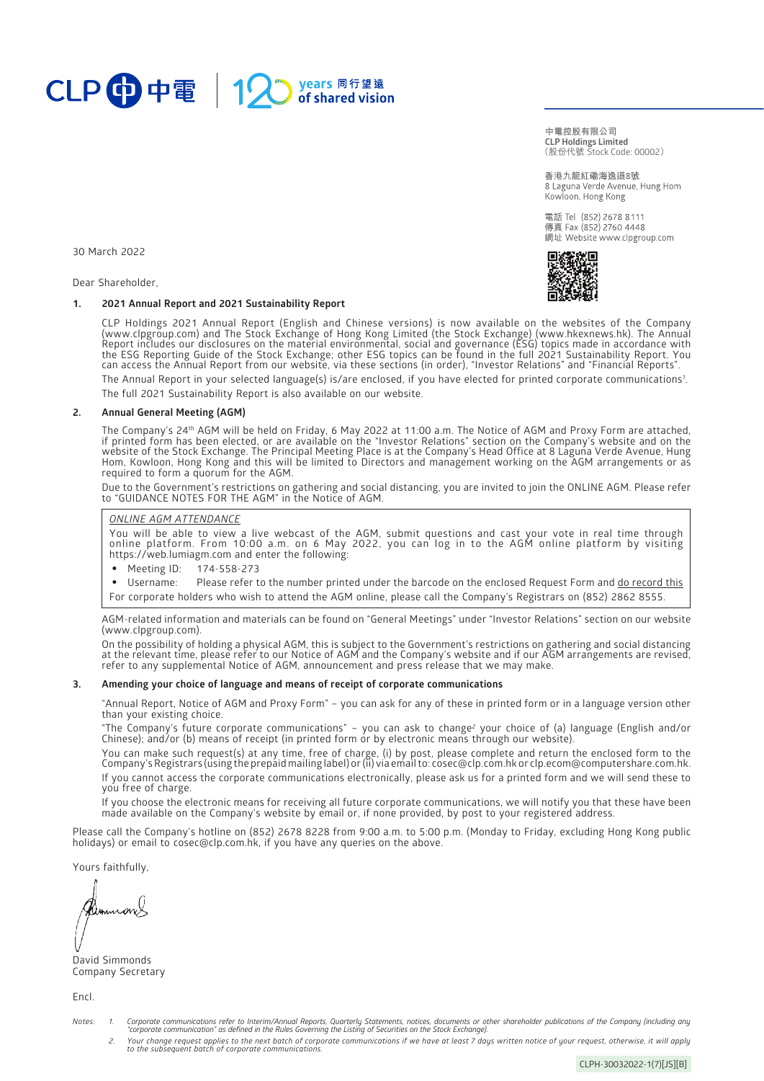

(股份代號 Stock Code: 00002) **中電控股有限公司 CLP Holdings Limited**

香港九龍紅磡海逸道8號 8 Laguna Verde Avenue, Hung Hom Kowloon, Hong Kong

電話 Tel (852) 2678 8111 傳真 Fax (852) 2760 4448 網址 Website www.clpgroup.com



30 March 2022

Dear Shareholder,

## **1. 2021 Annual Report and 2021 Sustainability Report**

CLP Holdings 2021 Annual Report (English and Chinese versions) is now available on the websites of the Company [\(www.clpgroup.com\)](https://www.clpgroup.com/en/index.html) and The Stock Exchange of Hong Kong Limited (the Stock Exchange) ([www.hkexnews.hk\)](https://www.hkexnews.hk/). The Annual Report includes our disclosures on the material environmental, social and governance (ESG) topics made in accordance with the ESG Reporting Guide of the Stock Exchange; other ESG topics can be found in the full 2021 Sustainability Report. You can access the Annual Report from our website, via these sections (in order), "Investor Relations" and "Financial Reports".

The Annual Report in your selected language(s) is/are enclosed, if you have elected for printed corporate communications*<sup>1</sup>* . The full 2021 Sustainability Report is also available on our website.

### **2. Annual General Meeting (AGM)**

The Company's 24<sup>th</sup> AGM will be held on Friday, 6 May 2022 at 11:00 a.m. The Notice of AGM and Proxy Form are attached, if printed form has been elected, or are available on the "Investor Relations" section on the Company's website and on the website of the Stock Exchange. The Principal Meeting Place is at the Company's Head Office at 8 Laguna Verde Avenue, Hung Hom, Kowloon, Hong Kong and this will be limited to Directors and management working on the AGM arrangements or as required to form a quorum for the AGM.

Due to the Government's restrictions on gathering and social distancing, you are invited to join the ONLINE AGM. Please refer to "GUIDANCE NOTES FOR THE AGM" in the Notice of AGM.

## *ONLINE AGM ATTENDANCE*

You will be able to view a live webcast of the AGM, submit questions and cast your vote in real time through online platform. From 10:00 a.m. on 6 May 2022, you can log in to the AGM online platform by visiting [https://web.lumiagm.com](https://web.lumiagm.com/) and enter the following:

- Meeting ID: 174-558-273
- Username: Please refer to the number printed under the barcode on the enclosed Request Form and do record this For corporate holders who wish to attend the AGM online, please call the Company's Registrars on (852) 2862 8555.

AGM-related information and materials can be found on "General Meetings" under "Investor Relations" section on our website [\(www.clpgroup.com\)](https://www.clpgroup.com/en/index.html).

On the possibility of holding a physical AGM, this is subject to the Government's restrictions on gathering and social distancing at the relevant time, please refer to our Notice of AGM and the Company's website and if our AGM arrangements are revised, refer to any supplemental Notice of AGM, announcement and press release that we may make.

#### **3. Amending your choice of language and means of receipt of corporate communications**

"Annual Report, Notice of AGM and Proxy Form" – you can ask for any of these in printed form or in a language version other than your existing choice.

"The Company's future corporate communications" – you can ask to change*<sup>2</sup>* your choice of (a) language (English and/or Chinese); and/or (b) means of receipt (in printed form or by electronic means through our website).

You can make such request(s) at any time, free of charge, (i) by post, please complete and return the enclosed form to the Company's Registrars (using the prepaid mailing label) or (ii) via email to[: cosec@clp.com.hk o](mailto:cosec@clp.com.hk)[r clp.ecom@computershare.com.hk.](mailto:clp.ecom@computershare.com.hk) If you cannot access the corporate communications electronically, please ask us for a printed form and we will send these to you free of charge.

If you choose the electronic means for receiving all future corporate communications, we will notify you that these have been made available on the Company's website by email or, if none provided, by post to your registered address.

Please call the Company's hotline on (852) 2678 8228 from 9:00 a.m. to 5:00 p.m. (Monday to Friday, excluding Hong Kong public holidays) or email to [cosec@clp.com.hk](mailto:cosec@clp.com.hk), if you have any queries on the above.

Yours faithfully,

David Simmonds Company Secretary

Encl.

- Notes: 1. Corporate communications refer to Interim/Annual Reports, Quarterly Statements, notices, documents or other shareholder publications of the Company (including any<br>corporate communication" as defined in the Rules
	- 2. Your change request applies to the next batch of corporate communications if we have at least 7 days written notice of your request, otherwise, it will apply<br>to the subsequent batch of corporate communications.